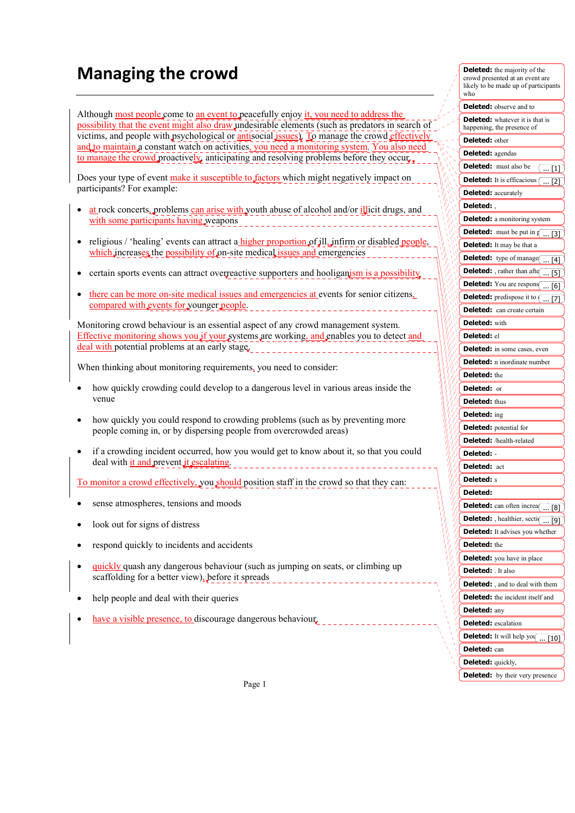## **Managing the crowd**

Although most people come to an event to peacefully enjoy it, you need to address the possibility that the event might also draw undesirable elements (such as predators in search of victims, and people with psychological or antisocial issues). To manage the crowd effectively and to maintain a constant watch on activities, you need a monitoring system. You also need to manage the crowd proactively, anticipating and resolving problems before they occur.

Does your type of event make it susceptible to factors which might negatively impact on participants? For example:

- at rock concerts, problems can arise with youth abuse of alcohol and/or illicit drugs, and with some participants having weapons
- religious / 'healing' events can attract a higher proportion of jll, jnfirm or disabled people, which increases the possibility of on-site medical issues and emergencies
- ertain sports events can attract overreactive supporters and hooliganism is a possibility
- there can be more on-site medical issues and emergencies at events for senior citizens, compared with events for younger people.

Monitoring crowd behaviour is an essential aspect of any crowd management system. Effective monitoring shows you if your systems are working, and enables you to detect and deal with potential problems at an early stage.

When thinking about monitoring requirements, you need to consider:

- how quickly crowding could develop to a dangerous level in various areas inside the venue
- how quickly you could respond to crowding problems (such as by preventing more people coming in, or by dispersing people from overcrowded areas)
- if a crowding incident occurred, how you would get to know about it, so that you could deal with it and prevent it escalating.

To monitor a crowd effectively, you should position staff in the crowd so that they can:

- sense atmospheres, tensions and moods
- look out for signs of distress
- respond quickly to incidents and accidents
- quickly quash any dangerous behaviour (such as jumping on seats, or climbing up scaffolding for a better view), before it spreads
- help people and deal with their queries
- have a visible presence, to discourage dangerous behaviour.

| me majority or the<br>crowd presented at an event are<br>likely to be made up of participants<br>who |
|------------------------------------------------------------------------------------------------------|
| <b>Deleted:</b> observe and to                                                                       |
| <b>Deleted:</b> whatever it is that is<br>happening, the presence of                                 |
| <b>Deleted:</b> other                                                                                |
| <b>Deleted:</b> agendas                                                                              |
| <b>Deleted:</b> must also be<br>$[$ [1]                                                              |
| <b>Deleted:</b> It is efficacious (<br>$\dots$ [2]                                                   |
| <b>Deleted:</b> accurately                                                                           |
| Deleted:                                                                                             |
| <b>Deleted:</b> a monitoring system                                                                  |
| <b>Deleted:</b> must be put in $\sqrt{1 + \left[\frac{1}{2}\right]}$                                 |
| <b>Deleted:</b> It may be that a                                                                     |
| <b>Deleted:</b> type of manage $\boxed{ [4]}$                                                        |
| Deleted: , rather than after<br>$$ [5]                                                               |
| <b>Deleted:</b> You are respons $\boxed{ [6]}$                                                       |
| <b>Deleted:</b> predispose it to [ [7]                                                               |
| <b>Deleted:</b> can create certain                                                                   |
| <b>Deleted:</b> with                                                                                 |
| <b>Deleted:</b> el                                                                                   |
| Deleted: in some cases, even                                                                         |
| <b>Deleted:</b> n inordinate number                                                                  |
| <b>Deleted:</b> the                                                                                  |
| <b>Deleted:</b> or                                                                                   |
| <b>Deleted:</b> thus                                                                                 |
| Deleted: ing                                                                                         |
| <b>Deleted:</b> potential for                                                                        |
| Deleted: /health-related                                                                             |
| Deleted:                                                                                             |
| Deleted: act                                                                                         |
| <b>Deleted:</b> s                                                                                    |
| Deleted:                                                                                             |
| <b>ted:</b> can often increa<br>$\overline{[8]}$                                                     |
| Deleted: , healthier, section<br><b>Deleted:</b> It advises you whether                              |
| <b>Deleted:</b> the                                                                                  |
| Deleted: you have in place                                                                           |
| <b>Deleted:</b> It also                                                                              |
| <b>Deleted:</b> , and to deal with them                                                              |
| <b>Deleted:</b> the incident itself and                                                              |
| Deleted: any                                                                                         |
| <b>Deleted:</b> escalation                                                                           |
| <b>Deleted:</b> It will help you $\overline{ [10]}$                                                  |
| Deleted: can                                                                                         |
| <b>Deleted:</b> quickly,                                                                             |
| <b>Deleted:</b> by their very presence                                                               |

**Deleted:** the majority of the